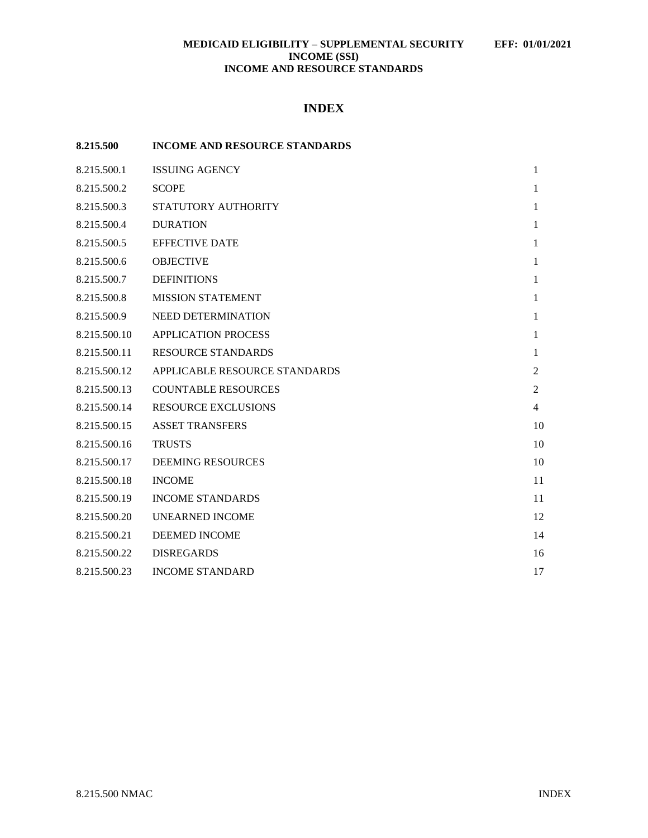# **INDEX**

| 8.215.500    | <b>INCOME AND RESOURCE STANDARDS</b> |                |
|--------------|--------------------------------------|----------------|
| 8.215.500.1  | <b>ISSUING AGENCY</b>                | $\mathbf{1}$   |
| 8.215.500.2  | <b>SCOPE</b>                         | 1              |
| 8.215.500.3  | STATUTORY AUTHORITY                  | $\mathbf{1}$   |
| 8.215.500.4  | <b>DURATION</b>                      | 1              |
| 8.215.500.5  | <b>EFFECTIVE DATE</b>                | 1              |
| 8.215.500.6  | <b>OBJECTIVE</b>                     | $\mathbf{1}$   |
| 8.215.500.7  | <b>DEFINITIONS</b>                   | $\mathbf{1}$   |
| 8.215.500.8  | <b>MISSION STATEMENT</b>             | 1              |
| 8.215.500.9  | NEED DETERMINATION                   | 1              |
| 8.215.500.10 | <b>APPLICATION PROCESS</b>           | 1              |
| 8.215.500.11 | <b>RESOURCE STANDARDS</b>            | 1              |
| 8.215.500.12 | APPLICABLE RESOURCE STANDARDS        | $\overline{2}$ |
| 8.215.500.13 | <b>COUNTABLE RESOURCES</b>           | $\overline{2}$ |
| 8.215.500.14 | <b>RESOURCE EXCLUSIONS</b>           | 4              |
| 8.215.500.15 | <b>ASSET TRANSFERS</b>               | 10             |
| 8.215.500.16 | <b>TRUSTS</b>                        | 10             |
| 8.215.500.17 | <b>DEEMING RESOURCES</b>             | 10             |
| 8.215.500.18 | <b>INCOME</b>                        | 11             |
| 8.215.500.19 | <b>INCOME STANDARDS</b>              | 11             |
| 8.215.500.20 | <b>UNEARNED INCOME</b>               | 12             |
| 8.215.500.21 | DEEMED INCOME                        | 14             |
| 8.215.500.22 | <b>DISREGARDS</b>                    | 16             |
| 8.215.500.23 | <b>INCOME STANDARD</b>               | 17             |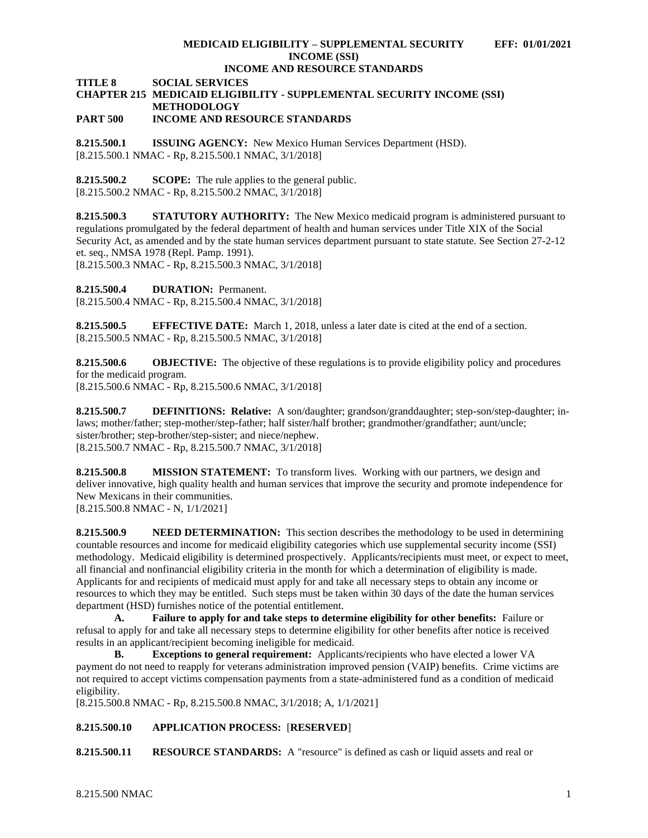**TITLE 8 SOCIAL SERVICES**

# **CHAPTER 215 MEDICAID ELIGIBILITY - SUPPLEMENTAL SECURITY INCOME (SSI) METHODOLOGY**

## **PART 500 INCOME AND RESOURCE STANDARDS**

<span id="page-1-0"></span>**8.215.500.1 ISSUING AGENCY:** New Mexico Human Services Department (HSD). [8.215.500.1 NMAC - Rp, 8.215.500.1 NMAC, 3/1/2018]

<span id="page-1-1"></span>**8.215.500.2 SCOPE:** The rule applies to the general public. [8.215.500.2 NMAC - Rp, 8.215.500.2 NMAC, 3/1/2018]

<span id="page-1-2"></span>**8.215.500.3 STATUTORY AUTHORITY:** The New Mexico medicaid program is administered pursuant to regulations promulgated by the federal department of health and human services under Title XIX of the Social Security Act, as amended and by the state human services department pursuant to state statute. See Section 27-2-12 et. seq., NMSA 1978 (Repl. Pamp. 1991).

[8.215.500.3 NMAC - Rp, 8.215.500.3 NMAC, 3/1/2018]

<span id="page-1-3"></span>**8.215.500.4 DURATION:** Permanent.

[8.215.500.4 NMAC - Rp, 8.215.500.4 NMAC, 3/1/2018]

<span id="page-1-4"></span>**8.215.500.5 EFFECTIVE DATE:** March 1, 2018, unless a later date is cited at the end of a section. [8.215.500.5 NMAC - Rp, 8.215.500.5 NMAC, 3/1/2018]

<span id="page-1-5"></span>**8.215.500.6 OBJECTIVE:** The objective of these regulations is to provide eligibility policy and procedures for the medicaid program.

[8.215.500.6 NMAC - Rp, 8.215.500.6 NMAC, 3/1/2018]

<span id="page-1-6"></span>**8.215.500.7 DEFINITIONS: Relative:** A son/daughter; grandson/granddaughter; step-son/step-daughter; inlaws; mother/father; step-mother/step-father; half sister/half brother; grandmother/grandfather; aunt/uncle; sister/brother; step-brother/step-sister; and niece/nephew. [8.215.500.7 NMAC - Rp, 8.215.500.7 NMAC, 3/1/2018]

<span id="page-1-7"></span>**8.215.500.8 MISSION STATEMENT:** To transform lives. Working with our partners, we design and deliver innovative, high quality health and human services that improve the security and promote independence for New Mexicans in their communities.

[8.215.500.8 NMAC - N, 1/1/2021]

<span id="page-1-8"></span>**8.215.500.9 NEED DETERMINATION:** This section describes the methodology to be used in determining countable resources and income for medicaid eligibility categories which use supplemental security income (SSI) methodology. Medicaid eligibility is determined prospectively. Applicants/recipients must meet, or expect to meet, all financial and nonfinancial eligibility criteria in the month for which a determination of eligibility is made. Applicants for and recipients of medicaid must apply for and take all necessary steps to obtain any income or resources to which they may be entitled. Such steps must be taken within 30 days of the date the human services department (HSD) furnishes notice of the potential entitlement.

**A. Failure to apply for and take steps to determine eligibility for other benefits:** Failure or refusal to apply for and take all necessary steps to determine eligibility for other benefits after notice is received results in an applicant/recipient becoming ineligible for medicaid.

**B. Exceptions to general requirement:** Applicants/recipients who have elected a lower VA payment do not need to reapply for veterans administration improved pension (VAIP) benefits. Crime victims are not required to accept victims compensation payments from a state-administered fund as a condition of medicaid eligibility.

[8.215.500.8 NMAC - Rp, 8.215.500.8 NMAC, 3/1/2018; A, 1/1/2021]

## <span id="page-1-9"></span>**8.215.500.10 APPLICATION PROCESS:** [**RESERVED**]

<span id="page-1-10"></span>**8.215.500.11 RESOURCE STANDARDS:** A "resource" is defined as cash or liquid assets and real or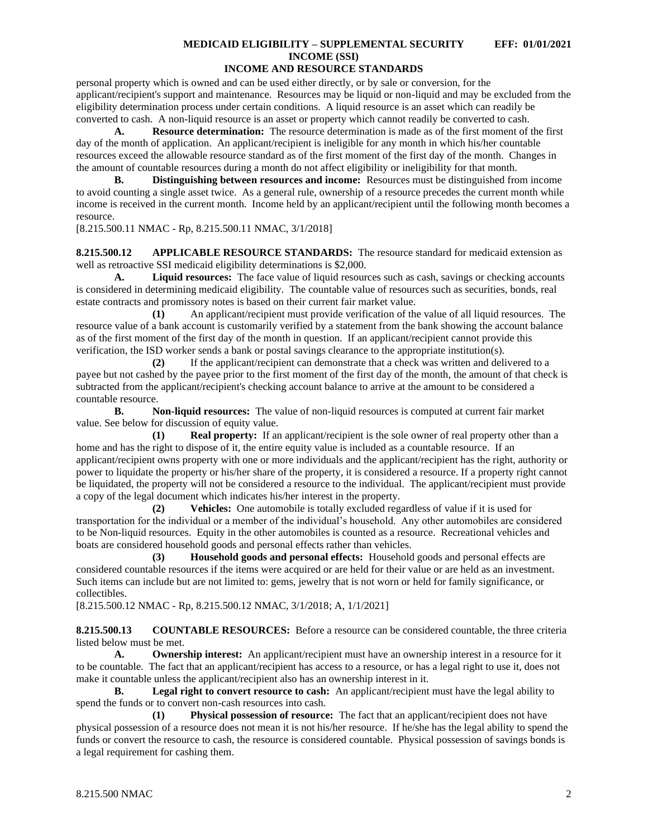personal property which is owned and can be used either directly, or by sale or conversion, for the applicant/recipient's support and maintenance. Resources may be liquid or non-liquid and may be excluded from the eligibility determination process under certain conditions. A liquid resource is an asset which can readily be converted to cash. A non-liquid resource is an asset or property which cannot readily be converted to cash.

**A. Resource determination:** The resource determination is made as of the first moment of the first day of the month of application. An applicant/recipient is ineligible for any month in which his/her countable resources exceed the allowable resource standard as of the first moment of the first day of the month. Changes in the amount of countable resources during a month do not affect eligibility or ineligibility for that month.

**B. Distinguishing between resources and income:** Resources must be distinguished from income to avoid counting a single asset twice. As a general rule, ownership of a resource precedes the current month while income is received in the current month. Income held by an applicant/recipient until the following month becomes a resource.

[8.215.500.11 NMAC - Rp, 8.215.500.11 NMAC, 3/1/2018]

<span id="page-2-0"></span>**8.215.500.12 APPLICABLE RESOURCE STANDARDS:** The resource standard for medicaid extension as well as retroactive SSI medicaid eligibility determinations is \$2,000.

**A. Liquid resources:** The face value of liquid resources such as cash, savings or checking accounts is considered in determining medicaid eligibility. The countable value of resources such as securities, bonds, real estate contracts and promissory notes is based on their current fair market value.

**(1)** An applicant/recipient must provide verification of the value of all liquid resources. The resource value of a bank account is customarily verified by a statement from the bank showing the account balance as of the first moment of the first day of the month in question. If an applicant/recipient cannot provide this verification, the ISD worker sends a bank or postal savings clearance to the appropriate institution(s).

**(2)** If the applicant/recipient can demonstrate that a check was written and delivered to a payee but not cashed by the payee prior to the first moment of the first day of the month, the amount of that check is subtracted from the applicant/recipient's checking account balance to arrive at the amount to be considered a countable resource.

**B. Non-liquid resources:** The value of non-liquid resources is computed at current fair market value. See below for discussion of equity value.

**(1) Real property:** If an applicant/recipient is the sole owner of real property other than a home and has the right to dispose of it, the entire equity value is included as a countable resource. If an applicant/recipient owns property with one or more individuals and the applicant/recipient has the right, authority or power to liquidate the property or his/her share of the property, it is considered a resource. If a property right cannot be liquidated, the property will not be considered a resource to the individual. The applicant/recipient must provide a copy of the legal document which indicates his/her interest in the property.

**(2) Vehicles:** One automobile is totally excluded regardless of value if it is used for transportation for the individual or a member of the individual's household. Any other automobiles are considered to be Non-liquid resources. Equity in the other automobiles is counted as a resource. Recreational vehicles and boats are considered household goods and personal effects rather than vehicles.

**(3) Household goods and personal effects:** Household goods and personal effects are considered countable resources if the items were acquired or are held for their value or are held as an investment. Such items can include but are not limited to: gems, jewelry that is not worn or held for family significance, or collectibles.

[8.215.500.12 NMAC - Rp, 8.215.500.12 NMAC, 3/1/2018; A, 1/1/2021]

<span id="page-2-1"></span>**8.215.500.13 COUNTABLE RESOURCES:** Before a resource can be considered countable, the three criteria listed below must be met.

**A. Ownership interest:** An applicant/recipient must have an ownership interest in a resource for it to be countable. The fact that an applicant/recipient has access to a resource, or has a legal right to use it, does not make it countable unless the applicant/recipient also has an ownership interest in it.

**B. Legal right to convert resource to cash:** An applicant/recipient must have the legal ability to spend the funds or to convert non-cash resources into cash.

**(1) Physical possession of resource:** The fact that an applicant/recipient does not have physical possession of a resource does not mean it is not his/her resource. If he/she has the legal ability to spend the funds or convert the resource to cash, the resource is considered countable. Physical possession of savings bonds is a legal requirement for cashing them.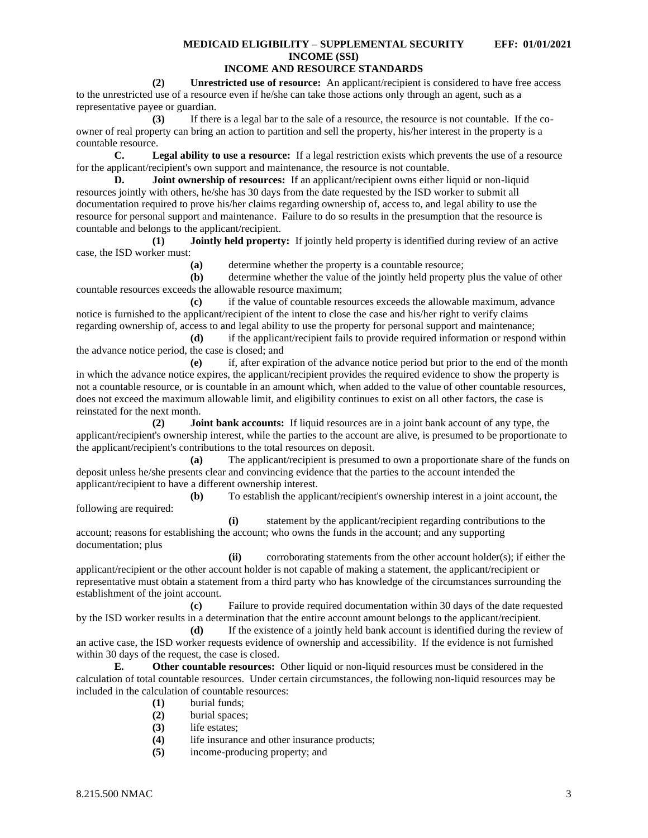# **INCOME AND RESOURCE STANDARDS**

**(2) Unrestricted use of resource:** An applicant/recipient is considered to have free access to the unrestricted use of a resource even if he/she can take those actions only through an agent, such as a representative payee or guardian.

**(3)** If there is a legal bar to the sale of a resource, the resource is not countable. If the coowner of real property can bring an action to partition and sell the property, his/her interest in the property is a countable resource.

**C. Legal ability to use a resource:** If a legal restriction exists which prevents the use of a resource for the applicant/recipient's own support and maintenance, the resource is not countable.

**D. Joint ownership of resources:** If an applicant/recipient owns either liquid or non-liquid resources jointly with others, he/she has 30 days from the date requested by the ISD worker to submit all documentation required to prove his/her claims regarding ownership of, access to, and legal ability to use the resource for personal support and maintenance. Failure to do so results in the presumption that the resource is countable and belongs to the applicant/recipient.

**(1) Jointly held property:** If jointly held property is identified during review of an active case, the ISD worker must:

**(a)** determine whether the property is a countable resource;

**(b)** determine whether the value of the jointly held property plus the value of other countable resources exceeds the allowable resource maximum;

**(c)** if the value of countable resources exceeds the allowable maximum, advance notice is furnished to the applicant/recipient of the intent to close the case and his/her right to verify claims regarding ownership of, access to and legal ability to use the property for personal support and maintenance;

**(d)** if the applicant/recipient fails to provide required information or respond within the advance notice period, the case is closed; and

**(e)** if, after expiration of the advance notice period but prior to the end of the month in which the advance notice expires, the applicant/recipient provides the required evidence to show the property is not a countable resource, or is countable in an amount which, when added to the value of other countable resources, does not exceed the maximum allowable limit, and eligibility continues to exist on all other factors, the case is reinstated for the next month.

**(2) Joint bank accounts:** If liquid resources are in a joint bank account of any type, the applicant/recipient's ownership interest, while the parties to the account are alive, is presumed to be proportionate to the applicant/recipient's contributions to the total resources on deposit.

**(a)** The applicant/recipient is presumed to own a proportionate share of the funds on deposit unless he/she presents clear and convincing evidence that the parties to the account intended the applicant/recipient to have a different ownership interest.

**(b)** To establish the applicant/recipient's ownership interest in a joint account, the following are required:

**(i)** statement by the applicant/recipient regarding contributions to the account; reasons for establishing the account; who owns the funds in the account; and any supporting documentation; plus

**(ii)** corroborating statements from the other account holder(s); if either the applicant/recipient or the other account holder is not capable of making a statement, the applicant/recipient or representative must obtain a statement from a third party who has knowledge of the circumstances surrounding the establishment of the joint account.

**(c)** Failure to provide required documentation within 30 days of the date requested by the ISD worker results in a determination that the entire account amount belongs to the applicant/recipient.

**(d)** If the existence of a jointly held bank account is identified during the review of an active case, the ISD worker requests evidence of ownership and accessibility. If the evidence is not furnished within 30 days of the request, the case is closed.

**E. Other countable resources:** Other liquid or non-liquid resources must be considered in the calculation of total countable resources. Under certain circumstances, the following non-liquid resources may be included in the calculation of countable resources:

- **(1)** burial funds;
- **(2)** burial spaces;
- **(3)** life estates;
- **(4)** life insurance and other insurance products;
- **(5)** income-producing property; and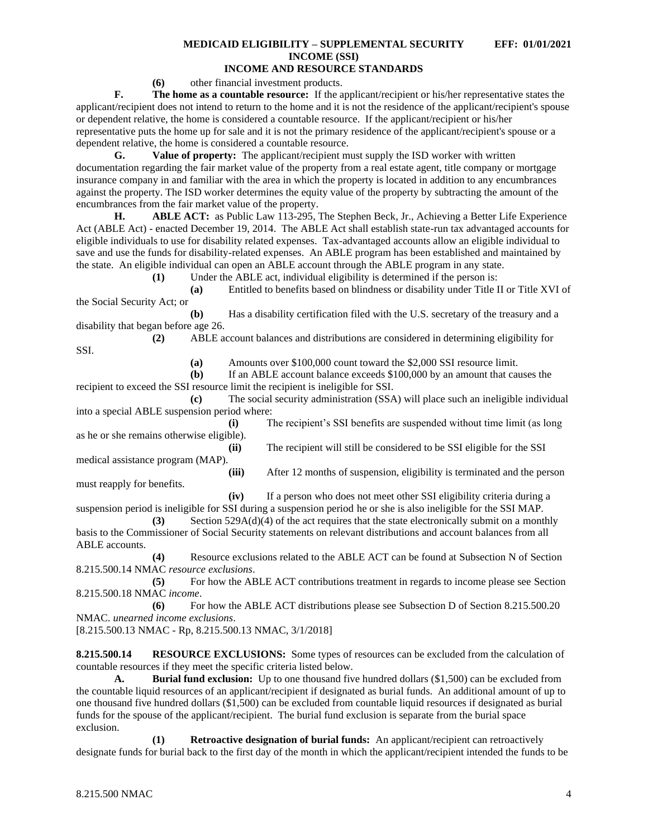#### **(6)** other financial investment products.

**F. The home as a countable resource:** If the applicant/recipient or his/her representative states the applicant/recipient does not intend to return to the home and it is not the residence of the applicant/recipient's spouse or dependent relative, the home is considered a countable resource. If the applicant/recipient or his/her representative puts the home up for sale and it is not the primary residence of the applicant/recipient's spouse or a dependent relative, the home is considered a countable resource.

**G. Value of property:** The applicant/recipient must supply the ISD worker with written documentation regarding the fair market value of the property from a real estate agent, title company or mortgage insurance company in and familiar with the area in which the property is located in addition to any encumbrances against the property. The ISD worker determines the equity value of the property by subtracting the amount of the encumbrances from the fair market value of the property.

**H. ABLE ACT:** as Public Law 113-295, The Stephen Beck, Jr., Achieving a Better Life Experience Act (ABLE Act) - enacted December 19, 2014. The ABLE Act shall establish state-run tax advantaged accounts for eligible individuals to use for disability related expenses. Tax-advantaged accounts allow an eligible individual to save and use the funds for disability-related expenses. An ABLE program has been established and maintained by the state. An eligible individual can open an ABLE account through the ABLE program in any state.

**(1)** Under the ABLE act, individual eligibility is determined if the person is:

**(a)** Entitled to benefits based on blindness or disability under Title II or Title XVI of the Social Security Act; or

**(b)** Has a disability certification filed with the U.S. secretary of the treasury and a disability that began before age 26.

**(2)** ABLE account balances and distributions are considered in determining eligibility for

SSI.

**(a)** Amounts over \$100,000 count toward the \$2,000 SSI resource limit.

**(b)** If an ABLE account balance exceeds \$100,000 by an amount that causes the recipient to exceed the SSI resource limit the recipient is ineligible for SSI.

**(c)** The social security administration (SSA) will place such an ineligible individual into a special ABLE suspension period where:

**(i)** The recipient's SSI benefits are suspended without time limit (as long as he or she remains otherwise eligible).

**(ii)** The recipient will still be considered to be SSI eligible for the SSI medical assistance program (MAP).

**(iii)** After 12 months of suspension, eligibility is terminated and the person must reapply for benefits.

**(iv)** If a person who does not meet other SSI eligibility criteria during a suspension period is ineligible for SSI during a suspension period he or she is also ineligible for the SSI MAP.

**(3)** Section 529A(d)(4) of the act requires that the state electronically submit on a monthly basis to the Commissioner of Social Security statements on relevant distributions and account balances from all ABLE accounts.

**(4)** Resource exclusions related to the ABLE ACT can be found at Subsection N of Section 8.215.500.14 NMAC *resource exclusions*.

**(5)** For how the ABLE ACT contributions treatment in regards to income please see Section 8.215.500.18 NMAC *income*.

**(6)** For how the ABLE ACT distributions please see Subsection D of Section 8.215.500.20 NMAC. *unearned income exclusions*.

[8.215.500.13 NMAC - Rp, 8.215.500.13 NMAC, 3/1/2018]

<span id="page-4-0"></span>**8.215.500.14 RESOURCE EXCLUSIONS:** Some types of resources can be excluded from the calculation of countable resources if they meet the specific criteria listed below.

**A. Burial fund exclusion:** Up to one thousand five hundred dollars (\$1,500) can be excluded from the countable liquid resources of an applicant/recipient if designated as burial funds. An additional amount of up to one thousand five hundred dollars (\$1,500) can be excluded from countable liquid resources if designated as burial funds for the spouse of the applicant/recipient. The burial fund exclusion is separate from the burial space exclusion.

**(1) Retroactive designation of burial funds:** An applicant/recipient can retroactively designate funds for burial back to the first day of the month in which the applicant/recipient intended the funds to be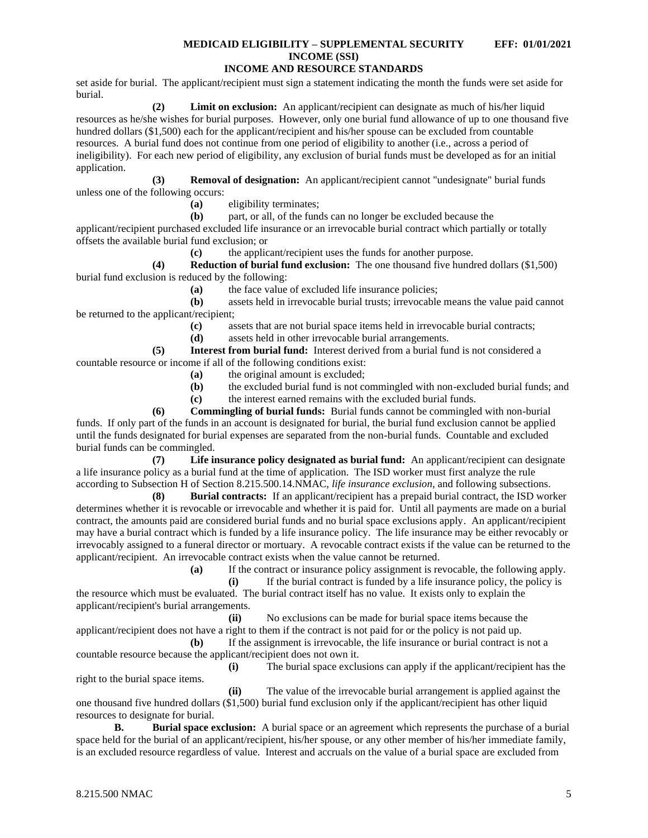## **INCOME AND RESOURCE STANDARDS**

set aside for burial. The applicant/recipient must sign a statement indicating the month the funds were set aside for burial.

**(2) Limit on exclusion:** An applicant/recipient can designate as much of his/her liquid resources as he/she wishes for burial purposes. However, only one burial fund allowance of up to one thousand five hundred dollars (\$1,500) each for the applicant/recipient and his/her spouse can be excluded from countable resources. A burial fund does not continue from one period of eligibility to another (i.e., across a period of ineligibility). For each new period of eligibility, any exclusion of burial funds must be developed as for an initial application.

**(3) Removal of designation:** An applicant/recipient cannot "undesignate" burial funds unless one of the following occurs:

**(a)** eligibility terminates;

**(b)** part, or all, of the funds can no longer be excluded because the

applicant/recipient purchased excluded life insurance or an irrevocable burial contract which partially or totally offsets the available burial fund exclusion; or

**(c)** the applicant/recipient uses the funds for another purpose.

**(4) Reduction of burial fund exclusion:** The one thousand five hundred dollars (\$1,500) burial fund exclusion is reduced by the following:

**(a)** the face value of excluded life insurance policies;

**(b)** assets held in irrevocable burial trusts; irrevocable means the value paid cannot be returned to the applicant/recipient;

**(c)** assets that are not burial space items held in irrevocable burial contracts;

**(d)** assets held in other irrevocable burial arrangements.

**(5) Interest from burial fund:** Interest derived from a burial fund is not considered a countable resource or income if all of the following conditions exist:

- **(a)** the original amount is excluded;
- **(b)** the excluded burial fund is not commingled with non-excluded burial funds; and

**(c)** the interest earned remains with the excluded burial funds.

**(6) Commingling of burial funds:** Burial funds cannot be commingled with non-burial funds. If only part of the funds in an account is designated for burial, the burial fund exclusion cannot be applied until the funds designated for burial expenses are separated from the non-burial funds. Countable and excluded burial funds can be commingled.

**(7) Life insurance policy designated as burial fund:** An applicant/recipient can designate a life insurance policy as a burial fund at the time of application. The ISD worker must first analyze the rule according to Subsection H of Section 8.215.500.14.NMAC, *life insurance exclusion*, and following subsections.

**(8) Burial contracts:** If an applicant/recipient has a prepaid burial contract, the ISD worker determines whether it is revocable or irrevocable and whether it is paid for. Until all payments are made on a burial contract, the amounts paid are considered burial funds and no burial space exclusions apply. An applicant/recipient may have a burial contract which is funded by a life insurance policy. The life insurance may be either revocably or irrevocably assigned to a funeral director or mortuary. A revocable contract exists if the value can be returned to the applicant/recipient. An irrevocable contract exists when the value cannot be returned.

**(a)** If the contract or insurance policy assignment is revocable, the following apply.

**(i)** If the burial contract is funded by a life insurance policy, the policy is the resource which must be evaluated. The burial contract itself has no value. It exists only to explain the applicant/recipient's burial arrangements.

**(ii)** No exclusions can be made for burial space items because the applicant/recipient does not have a right to them if the contract is not paid for or the policy is not paid up.

**(b)** If the assignment is irrevocable, the life insurance or burial contract is not a countable resource because the applicant/recipient does not own it.

**(i)** The burial space exclusions can apply if the applicant/recipient has the

right to the burial space items.

**(ii)** The value of the irrevocable burial arrangement is applied against the one thousand five hundred dollars (\$1,500) burial fund exclusion only if the applicant/recipient has other liquid resources to designate for burial.

**B. Burial space exclusion:** A burial space or an agreement which represents the purchase of a burial space held for the burial of an applicant/recipient, his/her spouse, or any other member of his/her immediate family, is an excluded resource regardless of value. Interest and accruals on the value of a burial space are excluded from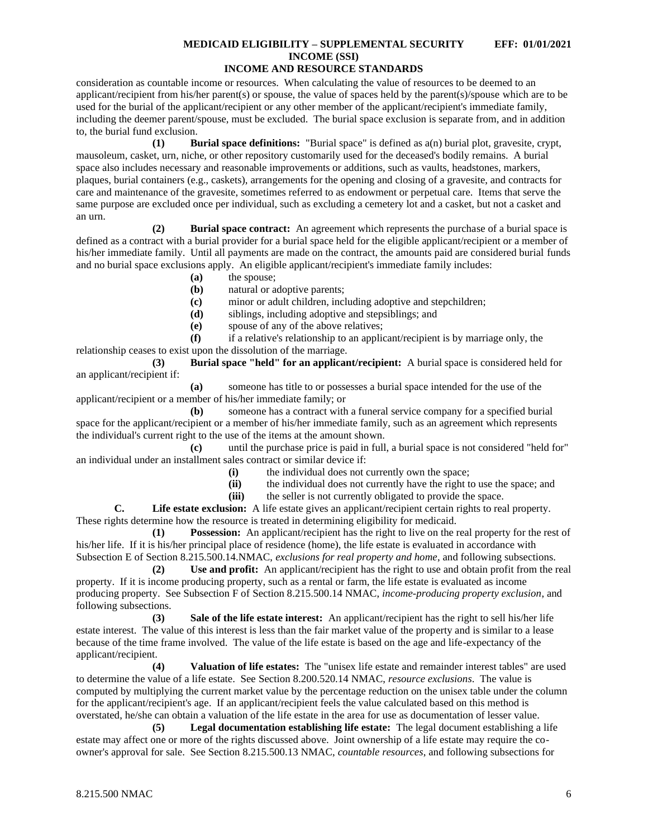consideration as countable income or resources. When calculating the value of resources to be deemed to an applicant/recipient from his/her parent(s) or spouse, the value of spaces held by the parent(s)/spouse which are to be used for the burial of the applicant/recipient or any other member of the applicant/recipient's immediate family, including the deemer parent/spouse, must be excluded. The burial space exclusion is separate from, and in addition to, the burial fund exclusion.

**(1) Burial space definitions:** "Burial space" is defined as a(n) burial plot, gravesite, crypt, mausoleum, casket, urn, niche, or other repository customarily used for the deceased's bodily remains. A burial space also includes necessary and reasonable improvements or additions, such as vaults, headstones, markers, plaques, burial containers (e.g., caskets), arrangements for the opening and closing of a gravesite, and contracts for care and maintenance of the gravesite, sometimes referred to as endowment or perpetual care. Items that serve the same purpose are excluded once per individual, such as excluding a cemetery lot and a casket, but not a casket and an urn.

**(2) Burial space contract:** An agreement which represents the purchase of a burial space is defined as a contract with a burial provider for a burial space held for the eligible applicant/recipient or a member of his/her immediate family. Until all payments are made on the contract, the amounts paid are considered burial funds and no burial space exclusions apply. An eligible applicant/recipient's immediate family includes:

- **(a)** the spouse;
- **(b)** natural or adoptive parents;
- **(c)** minor or adult children, including adoptive and stepchildren;
- **(d)** siblings, including adoptive and stepsiblings; and
- **(e)** spouse of any of the above relatives;

**(f)** if a relative's relationship to an applicant/recipient is by marriage only, the relationship ceases to exist upon the dissolution of the marriage.

**(3) Burial space "held" for an applicant/recipient:** A burial space is considered held for an applicant/recipient if:

**(a)** someone has title to or possesses a burial space intended for the use of the applicant/recipient or a member of his/her immediate family; or

**(b)** someone has a contract with a funeral service company for a specified burial space for the applicant/recipient or a member of his/her immediate family, such as an agreement which represents the individual's current right to the use of the items at the amount shown.

**(c)** until the purchase price is paid in full, a burial space is not considered "held for" an individual under an installment sales contract or similar device if:

- **(i)** the individual does not currently own the space;
- **(ii)** the individual does not currently have the right to use the space; and
- **(iii)** the seller is not currently obligated to provide the space.

**C. Life estate exclusion:** A life estate gives an applicant/recipient certain rights to real property. These rights determine how the resource is treated in determining eligibility for medicaid.

**(1) Possession:** An applicant/recipient has the right to live on the real property for the rest of his/her life. If it is his/her principal place of residence (home), the life estate is evaluated in accordance with Subsection E of Section 8.215.500.14.NMAC, *exclusions for real property and home*, and following subsections.

**(2) Use and profit:** An applicant/recipient has the right to use and obtain profit from the real property. If it is income producing property, such as a rental or farm, the life estate is evaluated as income producing property. See Subsection F of Section 8.215.500.14 NMAC, *income-producing property exclusion*, and following subsections.

**(3) Sale of the life estate interest:** An applicant/recipient has the right to sell his/her life estate interest. The value of this interest is less than the fair market value of the property and is similar to a lease because of the time frame involved. The value of the life estate is based on the age and life-expectancy of the applicant/recipient.

**(4) Valuation of life estates:** The "unisex life estate and remainder interest tables" are used to determine the value of a life estate. See Section 8.200.520.14 NMAC, *resource exclusions*. The value is computed by multiplying the current market value by the percentage reduction on the unisex table under the column for the applicant/recipient's age. If an applicant/recipient feels the value calculated based on this method is overstated, he/she can obtain a valuation of the life estate in the area for use as documentation of lesser value.

**(5) Legal documentation establishing life estate:** The legal document establishing a life estate may affect one or more of the rights discussed above. Joint ownership of a life estate may require the coowner's approval for sale. See Section 8.215.500.13 NMAC, *countable resources*, and following subsections for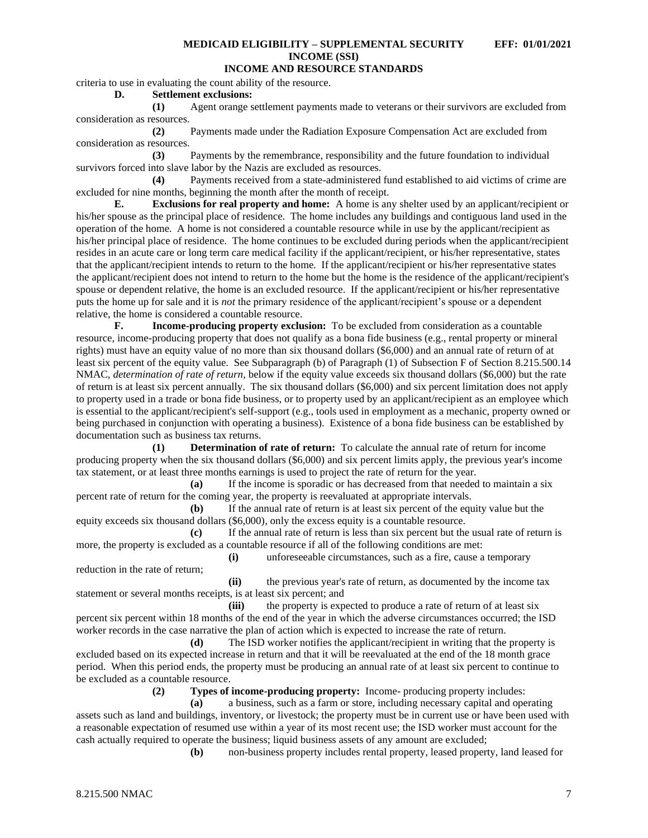# **INCOME AND RESOURCE STANDARDS**

criteria to use in evaluating the count ability of the resource.

**D. Settlement exclusions:**

**(1)** Agent orange settlement payments made to veterans or their survivors are excluded from consideration as resources.

**(2)** Payments made under the Radiation Exposure Compensation Act are excluded from consideration as resources.

**(3)** Payments by the remembrance, responsibility and the future foundation to individual survivors forced into slave labor by the Nazis are excluded as resources.

**(4)** Payments received from a state-administered fund established to aid victims of crime are excluded for nine months, beginning the month after the month of receipt.

**E. Exclusions for real property and home:** A home is any shelter used by an applicant/recipient or his/her spouse as the principal place of residence. The home includes any buildings and contiguous land used in the operation of the home. A home is not considered a countable resource while in use by the applicant/recipient as his/her principal place of residence. The home continues to be excluded during periods when the applicant/recipient resides in an acute care or long term care medical facility if the applicant/recipient, or his/her representative, states that the applicant/recipient intends to return to the home. If the applicant/recipient or his/her representative states the applicant/recipient does not intend to return to the home but the home is the residence of the applicant/recipient's spouse or dependent relative, the home is an excluded resource. If the applicant/recipient or his/her representative puts the home up for sale and it is *not* the primary residence of the applicant/recipient's spouse or a dependent relative, the home is considered a countable resource.

**F. Income-producing property exclusion:** To be excluded from consideration as a countable resource, income-producing property that does not qualify as a bona fide business (e.g., rental property or mineral rights) must have an equity value of no more than six thousand dollars (\$6,000) and an annual rate of return of at least six percent of the equity value. See Subparagraph (b) of Paragraph (1) of Subsection F of Section 8.215.500.14 NMAC, *determination of rate of return*, below if the equity value exceeds six thousand dollars (\$6,000) but the rate of return is at least six percent annually. The six thousand dollars (\$6,000) and six percent limitation does not apply to property used in a trade or bona fide business, or to property used by an applicant/recipient as an employee which is essential to the applicant/recipient's self-support (e.g., tools used in employment as a mechanic, property owned or being purchased in conjunction with operating a business). Existence of a bona fide business can be established by documentation such as business tax returns.

**(1) Determination of rate of return:** To calculate the annual rate of return for income producing property when the six thousand dollars (\$6,000) and six percent limits apply, the previous year's income tax statement, or at least three months earnings is used to project the rate of return for the year.

**(a)** If the income is sporadic or has decreased from that needed to maintain a six percent rate of return for the coming year, the property is reevaluated at appropriate intervals.

**(b)** If the annual rate of return is at least six percent of the equity value but the equity exceeds six thousand dollars (\$6,000), only the excess equity is a countable resource.

**(c)** If the annual rate of return is less than six percent but the usual rate of return is more, the property is excluded as a countable resource if all of the following conditions are met:

**(i)** unforeseeable circumstances, such as a fire, cause a temporary reduction in the rate of return;

**(ii)** the previous year's rate of return, as documented by the income tax statement or several months receipts, is at least six percent; and

**(iii)** the property is expected to produce a rate of return of at least six percent six percent within 18 months of the end of the year in which the adverse circumstances occurred; the ISD worker records in the case narrative the plan of action which is expected to increase the rate of return.

**(d)** The ISD worker notifies the applicant/recipient in writing that the property is excluded based on its expected increase in return and that it will be reevaluated at the end of the 18 month grace period. When this period ends, the property must be producing an annual rate of at least six percent to continue to be excluded as a countable resource.

**(2) Types of income-producing property:** Income- producing property includes:

**(a)** a business, such as a farm or store, including necessary capital and operating assets such as land and buildings, inventory, or livestock; the property must be in current use or have been used with a reasonable expectation of resumed use within a year of its most recent use; the ISD worker must account for the cash actually required to operate the business; liquid business assets of any amount are excluded;

**(b)** non-business property includes rental property, leased property, land leased for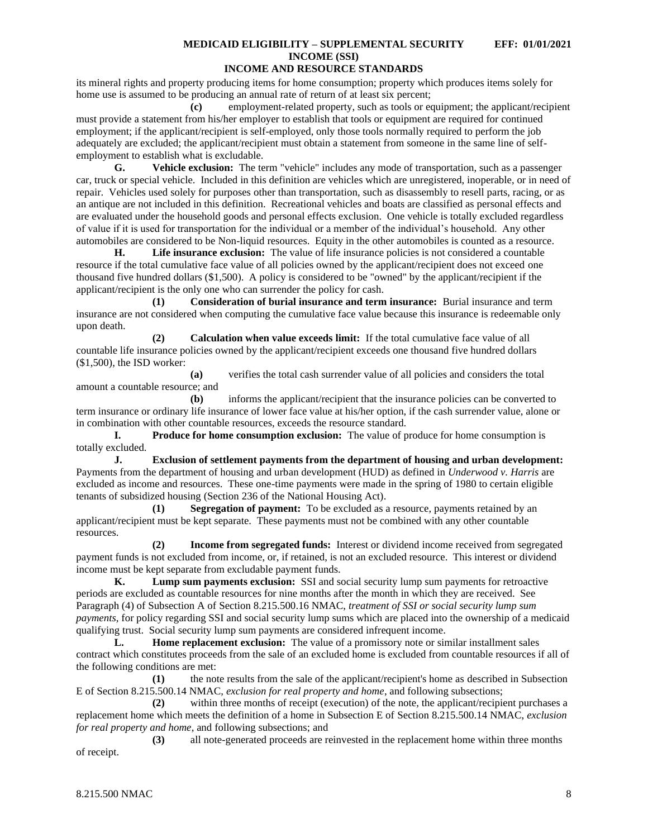its mineral rights and property producing items for home consumption; property which produces items solely for home use is assumed to be producing an annual rate of return of at least six percent;

**(c)** employment-related property, such as tools or equipment; the applicant/recipient must provide a statement from his/her employer to establish that tools or equipment are required for continued employment; if the applicant/recipient is self-employed, only those tools normally required to perform the job adequately are excluded; the applicant/recipient must obtain a statement from someone in the same line of selfemployment to establish what is excludable.

**G. Vehicle exclusion:** The term "vehicle" includes any mode of transportation, such as a passenger car, truck or special vehicle. Included in this definition are vehicles which are unregistered, inoperable, or in need of repair. Vehicles used solely for purposes other than transportation, such as disassembly to resell parts, racing, or as an antique are not included in this definition. Recreational vehicles and boats are classified as personal effects and are evaluated under the household goods and personal effects exclusion. One vehicle is totally excluded regardless of value if it is used for transportation for the individual or a member of the individual's household. Any other automobiles are considered to be Non-liquid resources. Equity in the other automobiles is counted as a resource.

**H. Life insurance exclusion:** The value of life insurance policies is not considered a countable resource if the total cumulative face value of all policies owned by the applicant/recipient does not exceed one thousand five hundred dollars (\$1,500). A policy is considered to be "owned" by the applicant/recipient if the applicant/recipient is the only one who can surrender the policy for cash.

**(1) Consideration of burial insurance and term insurance:** Burial insurance and term insurance are not considered when computing the cumulative face value because this insurance is redeemable only upon death.

**(2) Calculation when value exceeds limit:** If the total cumulative face value of all countable life insurance policies owned by the applicant/recipient exceeds one thousand five hundred dollars (\$1,500), the ISD worker:

**(a)** verifies the total cash surrender value of all policies and considers the total amount a countable resource; and

**(b)** informs the applicant/recipient that the insurance policies can be converted to term insurance or ordinary life insurance of lower face value at his/her option, if the cash surrender value, alone or in combination with other countable resources, exceeds the resource standard.

**I. Produce for home consumption exclusion:** The value of produce for home consumption is totally excluded.

**J. Exclusion of settlement payments from the department of housing and urban development:** Payments from the department of housing and urban development (HUD) as defined in *Underwood v. Harris* are excluded as income and resources. These one-time payments were made in the spring of 1980 to certain eligible tenants of subsidized housing (Section 236 of the National Housing Act).

**(1) Segregation of payment:** To be excluded as a resource, payments retained by an applicant/recipient must be kept separate. These payments must not be combined with any other countable resources.

**(2) Income from segregated funds:** Interest or dividend income received from segregated payment funds is not excluded from income, or, if retained, is not an excluded resource. This interest or dividend income must be kept separate from excludable payment funds.

**K. Lump sum payments exclusion:** SSI and social security lump sum payments for retroactive periods are excluded as countable resources for nine months after the month in which they are received. See Paragraph (4) of Subsection A of Section 8.215.500.16 NMAC, *treatment of SSI or social security lump sum payments*, for policy regarding SSI and social security lump sums which are placed into the ownership of a medicaid qualifying trust. Social security lump sum payments are considered infrequent income.

**L. Home replacement exclusion:** The value of a promissory note or similar installment sales contract which constitutes proceeds from the sale of an excluded home is excluded from countable resources if all of the following conditions are met:

**(1)** the note results from the sale of the applicant/recipient's home as described in Subsection E of Section 8.215.500.14 NMAC, *exclusion for real property and home*, and following subsections;

**(2)** within three months of receipt (execution) of the note, the applicant/recipient purchases a replacement home which meets the definition of a home in Subsection E of Section 8.215.500.14 NMAC, *exclusion for real property and home*, and following subsections; and

**(3)** all note-generated proceeds are reinvested in the replacement home within three months of receipt.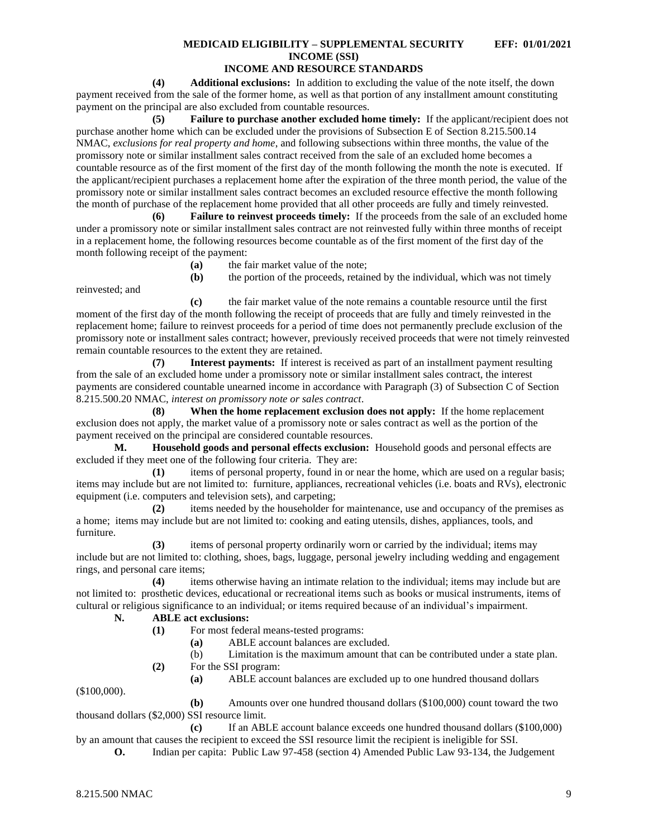# **INCOME AND RESOURCE STANDARDS**

**(4) Additional exclusions:** In addition to excluding the value of the note itself, the down payment received from the sale of the former home, as well as that portion of any installment amount constituting payment on the principal are also excluded from countable resources.

**(5) Failure to purchase another excluded home timely:** If the applicant/recipient does not purchase another home which can be excluded under the provisions of Subsection E of Section 8.215.500.14 NMAC, *exclusions for real property and home*, and following subsections within three months, the value of the promissory note or similar installment sales contract received from the sale of an excluded home becomes a countable resource as of the first moment of the first day of the month following the month the note is executed. If the applicant/recipient purchases a replacement home after the expiration of the three month period, the value of the promissory note or similar installment sales contract becomes an excluded resource effective the month following the month of purchase of the replacement home provided that all other proceeds are fully and timely reinvested.

**(6) Failure to reinvest proceeds timely:** If the proceeds from the sale of an excluded home under a promissory note or similar installment sales contract are not reinvested fully within three months of receipt in a replacement home, the following resources become countable as of the first moment of the first day of the month following receipt of the payment:

**(a)** the fair market value of the note;

reinvested; and

**(b)** the portion of the proceeds, retained by the individual, which was not timely

**(c)** the fair market value of the note remains a countable resource until the first moment of the first day of the month following the receipt of proceeds that are fully and timely reinvested in the replacement home; failure to reinvest proceeds for a period of time does not permanently preclude exclusion of the promissory note or installment sales contract; however, previously received proceeds that were not timely reinvested remain countable resources to the extent they are retained.

**(7) Interest payments:** If interest is received as part of an installment payment resulting from the sale of an excluded home under a promissory note or similar installment sales contract, the interest payments are considered countable unearned income in accordance with Paragraph (3) of Subsection C of Section 8.215.500.20 NMAC, *interest on promissory note or sales contract*.

**(8) When the home replacement exclusion does not apply:** If the home replacement exclusion does not apply, the market value of a promissory note or sales contract as well as the portion of the payment received on the principal are considered countable resources.

**M. Household goods and personal effects exclusion:** Household goods and personal effects are excluded if they meet one of the following four criteria. They are:

**(1)** items of personal property, found in or near the home, which are used on a regular basis; items may include but are not limited to: furniture, appliances, recreational vehicles (i.e. boats and RVs), electronic equipment (i.e. computers and television sets), and carpeting;

**(2)** items needed by the householder for maintenance, use and occupancy of the premises as a home; items may include but are not limited to: cooking and eating utensils, dishes, appliances, tools, and furniture.

**(3)** items of personal property ordinarily worn or carried by the individual; items may include but are not limited to: clothing, shoes, bags, luggage, personal jewelry including wedding and engagement rings, and personal care items;

**(4)** items otherwise having an intimate relation to the individual; items may include but are not limited to: prosthetic devices, educational or recreational items such as books or musical instruments, items of cultural or religious significance to an individual; or items required because of an individual's impairment.

### **N. ABLE act exclusions:**

- **(1)** For most federal means-tested programs:
	- **(a)** ABLE account balances are excluded.
	- (b) Limitation is the maximum amount that can be contributed under a state plan.
- **(2)** For the SSI program:
	- **(a)** ABLE account balances are excluded up to one hundred thousand dollars

(\$100,000).

**(b)** Amounts over one hundred thousand dollars (\$100,000) count toward the two thousand dollars (\$2,000) SSI resource limit.

**(c)** If an ABLE account balance exceeds one hundred thousand dollars (\$100,000) by an amount that causes the recipient to exceed the SSI resource limit the recipient is ineligible for SSI.

**O.** Indian per capita: Public Law 97-458 (section 4) Amended Public Law 93-134, the Judgement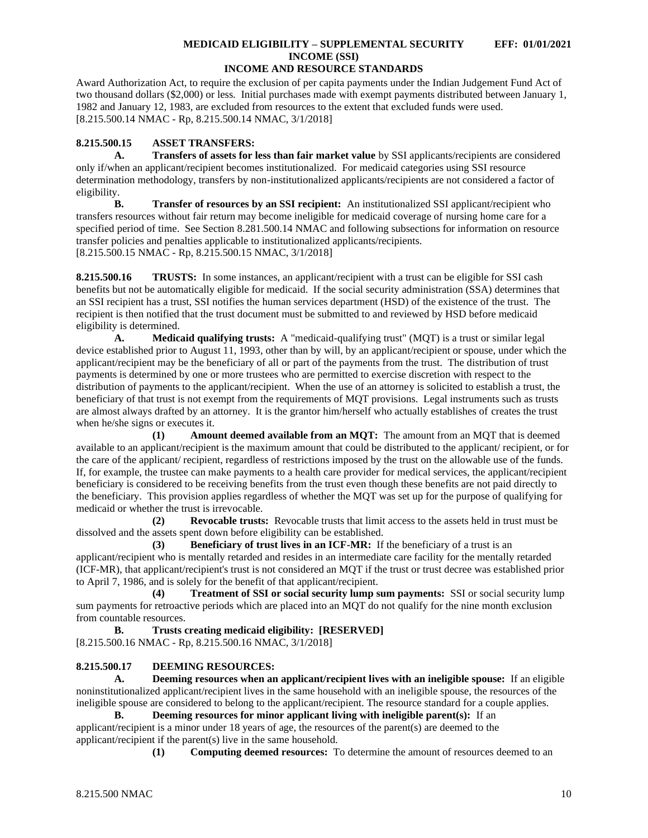Award Authorization Act, to require the exclusion of per capita payments under the Indian Judgement Fund Act of two thousand dollars (\$2,000) or less. Initial purchases made with exempt payments distributed between January 1, 1982 and January 12, 1983, are excluded from resources to the extent that excluded funds were used. [8.215.500.14 NMAC - Rp, 8.215.500.14 NMAC, 3/1/2018]

## <span id="page-10-0"></span>**8.215.500.15 ASSET TRANSFERS:**

**A. Transfers of assets for less than fair market value** by SSI applicants/recipients are considered only if/when an applicant/recipient becomes institutionalized. For medicaid categories using SSI resource determination methodology, transfers by non-institutionalized applicants/recipients are not considered a factor of eligibility.

**B. Transfer of resources by an SSI recipient:** An institutionalized SSI applicant/recipient who transfers resources without fair return may become ineligible for medicaid coverage of nursing home care for a specified period of time. See Section 8.281.500.14 NMAC and following subsections for information on resource transfer policies and penalties applicable to institutionalized applicants/recipients. [8.215.500.15 NMAC - Rp, 8.215.500.15 NMAC, 3/1/2018]

<span id="page-10-1"></span>**8.215.500.16 TRUSTS:** In some instances, an applicant/recipient with a trust can be eligible for SSI cash benefits but not be automatically eligible for medicaid. If the social security administration (SSA) determines that an SSI recipient has a trust, SSI notifies the human services department (HSD) of the existence of the trust. The recipient is then notified that the trust document must be submitted to and reviewed by HSD before medicaid eligibility is determined.

**A. Medicaid qualifying trusts:** A "medicaid-qualifying trust" (MQT) is a trust or similar legal device established prior to August 11, 1993, other than by will, by an applicant/recipient or spouse, under which the applicant/recipient may be the beneficiary of all or part of the payments from the trust. The distribution of trust payments is determined by one or more trustees who are permitted to exercise discretion with respect to the distribution of payments to the applicant/recipient. When the use of an attorney is solicited to establish a trust, the beneficiary of that trust is not exempt from the requirements of MQT provisions. Legal instruments such as trusts are almost always drafted by an attorney. It is the grantor him/herself who actually establishes of creates the trust when he/she signs or executes it.

**(1) Amount deemed available from an MQT:** The amount from an MQT that is deemed available to an applicant/recipient is the maximum amount that could be distributed to the applicant/ recipient, or for the care of the applicant/ recipient, regardless of restrictions imposed by the trust on the allowable use of the funds. If, for example, the trustee can make payments to a health care provider for medical services, the applicant/recipient beneficiary is considered to be receiving benefits from the trust even though these benefits are not paid directly to the beneficiary. This provision applies regardless of whether the MQT was set up for the purpose of qualifying for medicaid or whether the trust is irrevocable.

**(2) Revocable trusts:** Revocable trusts that limit access to the assets held in trust must be dissolved and the assets spent down before eligibility can be established.

**(3) Beneficiary of trust lives in an ICF-MR:** If the beneficiary of a trust is an applicant/recipient who is mentally retarded and resides in an intermediate care facility for the mentally retarded (ICF-MR), that applicant/recipient's trust is not considered an MQT if the trust or trust decree was established prior to April 7, 1986, and is solely for the benefit of that applicant/recipient.

**(4) Treatment of SSI or social security lump sum payments:** SSI or social security lump sum payments for retroactive periods which are placed into an MQT do not qualify for the nine month exclusion from countable resources.

# **B. Trusts creating medicaid eligibility: [RESERVED]**

[8.215.500.16 NMAC - Rp, 8.215.500.16 NMAC, 3/1/2018]

### <span id="page-10-2"></span>**8.215.500.17 DEEMING RESOURCES:**

**A. Deeming resources when an applicant/recipient lives with an ineligible spouse:** If an eligible noninstitutionalized applicant/recipient lives in the same household with an ineligible spouse, the resources of the ineligible spouse are considered to belong to the applicant/recipient. The resource standard for a couple applies.

**B. Deeming resources for minor applicant living with ineligible parent(s):** If an applicant/recipient is a minor under 18 years of age, the resources of the parent(s) are deemed to the applicant/recipient if the parent(s) live in the same household.

**(1) Computing deemed resources:** To determine the amount of resources deemed to an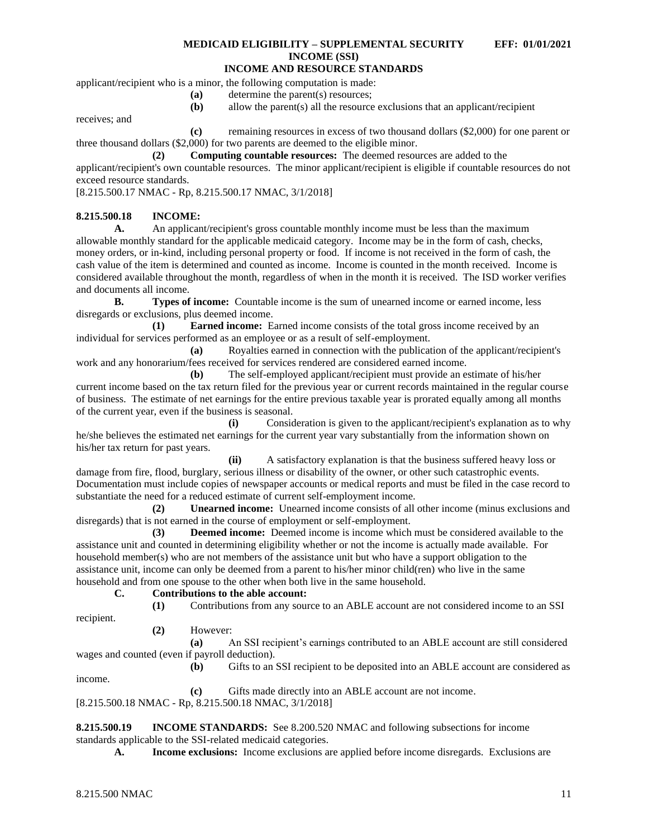applicant/recipient who is a minor, the following computation is made:

**(a)** determine the parent(s) resources;

**(b)** allow the parent(s) all the resource exclusions that an applicant/recipient

receives; and

**(c)** remaining resources in excess of two thousand dollars (\$2,000) for one parent or three thousand dollars (\$2,000) for two parents are deemed to the eligible minor.

**(2) Computing countable resources:** The deemed resources are added to the applicant/recipient's own countable resources. The minor applicant/recipient is eligible if countable resources do not exceed resource standards.

[8.215.500.17 NMAC - Rp, 8.215.500.17 NMAC, 3/1/2018]

### <span id="page-11-0"></span>**8.215.500.18 INCOME:**

**A.** An applicant/recipient's gross countable monthly income must be less than the maximum allowable monthly standard for the applicable medicaid category. Income may be in the form of cash, checks, money orders, or in-kind, including personal property or food. If income is not received in the form of cash, the cash value of the item is determined and counted as income. Income is counted in the month received. Income is considered available throughout the month, regardless of when in the month it is received. The ISD worker verifies and documents all income.

**B. Types of income:** Countable income is the sum of unearned income or earned income, less disregards or exclusions, plus deemed income.

**(1) Earned income:** Earned income consists of the total gross income received by an individual for services performed as an employee or as a result of self-employment.

**(a)** Royalties earned in connection with the publication of the applicant/recipient's work and any honorarium/fees received for services rendered are considered earned income.

**(b)** The self-employed applicant/recipient must provide an estimate of his/her current income based on the tax return filed for the previous year or current records maintained in the regular course of business. The estimate of net earnings for the entire previous taxable year is prorated equally among all months of the current year, even if the business is seasonal.

**(i)** Consideration is given to the applicant/recipient's explanation as to why he/she believes the estimated net earnings for the current year vary substantially from the information shown on his/her tax return for past years.

**(ii)** A satisfactory explanation is that the business suffered heavy loss or damage from fire, flood, burglary, serious illness or disability of the owner, or other such catastrophic events. Documentation must include copies of newspaper accounts or medical reports and must be filed in the case record to substantiate the need for a reduced estimate of current self-employment income.

**(2) Unearned income:** Unearned income consists of all other income (minus exclusions and disregards) that is not earned in the course of employment or self-employment.

**(3) Deemed income:** Deemed income is income which must be considered available to the assistance unit and counted in determining eligibility whether or not the income is actually made available. For household member(s) who are not members of the assistance unit but who have a support obligation to the assistance unit, income can only be deemed from a parent to his/her minor child(ren) who live in the same household and from one spouse to the other when both live in the same household.

## **C. Contributions to the able account:**

recipient.

income.

# **(1)** Contributions from any source to an ABLE account are not considered income to an SSI

**(2)** However:

**(a)** An SSI recipient's earnings contributed to an ABLE account are still considered wages and counted (even if payroll deduction).

**(b)** Gifts to an SSI recipient to be deposited into an ABLE account are considered as

**(c)** Gifts made directly into an ABLE account are not income. [8.215.500.18 NMAC - Rp, 8.215.500.18 NMAC, 3/1/2018]

<span id="page-11-1"></span>**8.215.500.19 INCOME STANDARDS:** See 8.200.520 NMAC and following subsections for income standards applicable to the SSI-related medicaid categories.

**A. Income exclusions:** Income exclusions are applied before income disregards. Exclusions are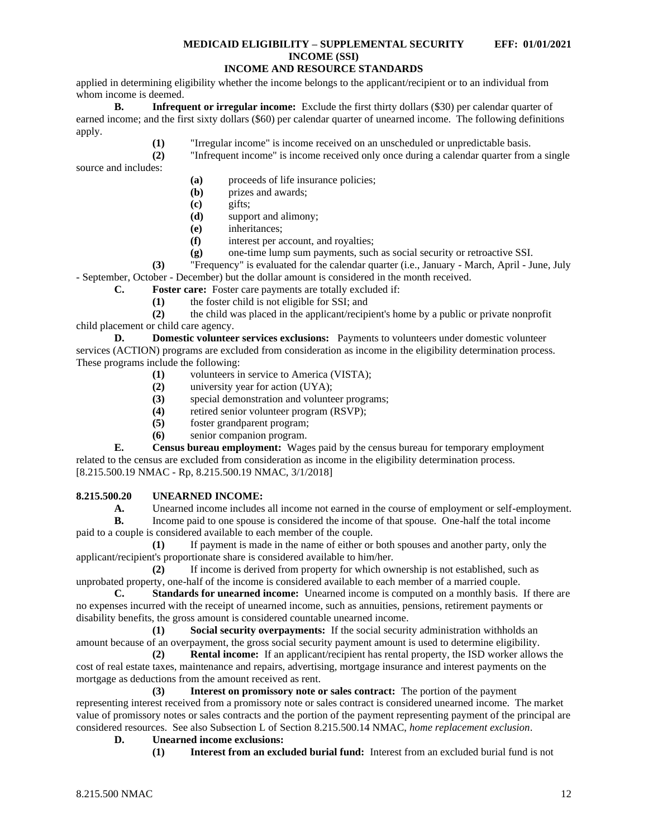applied in determining eligibility whether the income belongs to the applicant/recipient or to an individual from whom income is deemed.

**B. Infrequent or irregular income:** Exclude the first thirty dollars (\$30) per calendar quarter of earned income; and the first sixty dollars (\$60) per calendar quarter of unearned income. The following definitions apply.

**(1)** "Irregular income" is income received on an unscheduled or unpredictable basis.

**(2)** "Infrequent income" is income received only once during a calendar quarter from a single

source and includes:

- **(a)** proceeds of life insurance policies;
- **(b)** prizes and awards;
- **(c)** gifts;
- **(d)** support and alimony;
- **(e)** inheritances;
- **(f)** interest per account, and royalties;
- **(g)** one-time lump sum payments, such as social security or retroactive SSI.

**(3)** "Frequency" is evaluated for the calendar quarter (i.e., January - March, April - June, July

- September, October - December) but the dollar amount is considered in the month received.

**C. Foster care:** Foster care payments are totally excluded if:

**(1)** the foster child is not eligible for SSI; and

**(2)** the child was placed in the applicant/recipient's home by a public or private nonprofit child placement or child care agency.

**D. Domestic volunteer services exclusions:** Payments to volunteers under domestic volunteer services (ACTION) programs are excluded from consideration as income in the eligibility determination process. These programs include the following:

- **(1)** volunteers in service to America (VISTA);
- **(2)** university year for action (UYA);
- **(3)** special demonstration and volunteer programs;
- **(4)** retired senior volunteer program (RSVP);
- **(5)** foster grandparent program;
- **(6)** senior companion program.

**E. Census bureau employment:** Wages paid by the census bureau for temporary employment related to the census are excluded from consideration as income in the eligibility determination process. [8.215.500.19 NMAC - Rp, 8.215.500.19 NMAC, 3/1/2018]

### <span id="page-12-0"></span>**8.215.500.20 UNEARNED INCOME:**

A. Unearned income includes all income not earned in the course of employment or self-employment.

**B.** Income paid to one spouse is considered the income of that spouse. One-half the total income paid to a couple is considered available to each member of the couple.

**(1)** If payment is made in the name of either or both spouses and another party, only the applicant/recipient's proportionate share is considered available to him/her.

**(2)** If income is derived from property for which ownership is not established, such as unprobated property, one-half of the income is considered available to each member of a married couple.

**C. Standards for unearned income:** Unearned income is computed on a monthly basis. If there are no expenses incurred with the receipt of unearned income, such as annuities, pensions, retirement payments or disability benefits, the gross amount is considered countable unearned income.

**(1) Social security overpayments:** If the social security administration withholds an amount because of an overpayment, the gross social security payment amount is used to determine eligibility.

**(2) Rental income:** If an applicant/recipient has rental property, the ISD worker allows the cost of real estate taxes, maintenance and repairs, advertising, mortgage insurance and interest payments on the mortgage as deductions from the amount received as rent.

**(3) Interest on promissory note or sales contract:** The portion of the payment representing interest received from a promissory note or sales contract is considered unearned income. The market value of promissory notes or sales contracts and the portion of the payment representing payment of the principal are considered resources. See also Subsection L of Section 8.215.500.14 NMAC, *home replacement exclusion*.

## **D. Unearned income exclusions:**

**(1) Interest from an excluded burial fund:** Interest from an excluded burial fund is not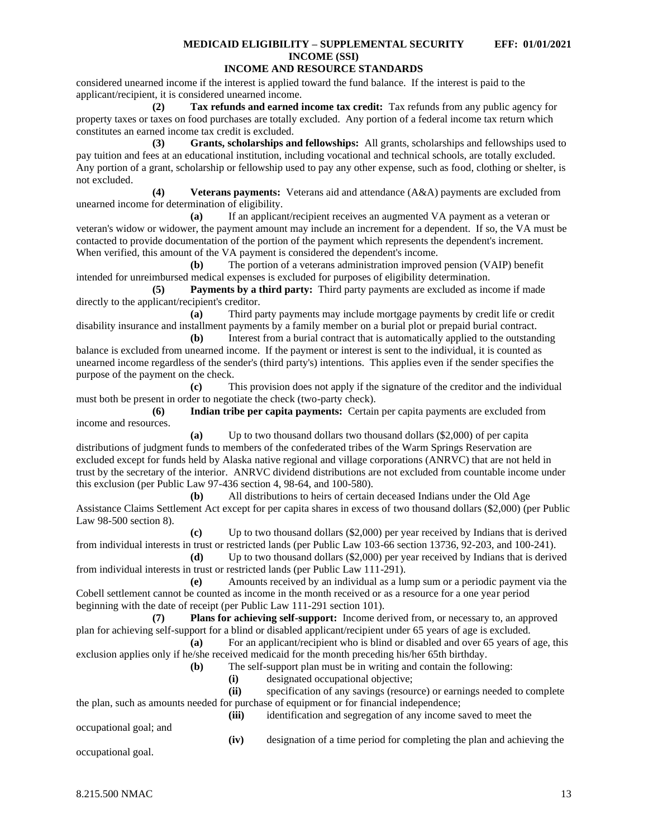## **INCOME AND RESOURCE STANDARDS**

considered unearned income if the interest is applied toward the fund balance. If the interest is paid to the applicant/recipient, it is considered unearned income.

**(2) Tax refunds and earned income tax credit:** Tax refunds from any public agency for property taxes or taxes on food purchases are totally excluded. Any portion of a federal income tax return which constitutes an earned income tax credit is excluded.

**(3) Grants, scholarships and fellowships:** All grants, scholarships and fellowships used to pay tuition and fees at an educational institution, including vocational and technical schools, are totally excluded. Any portion of a grant, scholarship or fellowship used to pay any other expense, such as food, clothing or shelter, is not excluded.

**(4) Veterans payments:** Veterans aid and attendance (A&A) payments are excluded from unearned income for determination of eligibility.

**(a)** If an applicant/recipient receives an augmented VA payment as a veteran or veteran's widow or widower, the payment amount may include an increment for a dependent. If so, the VA must be contacted to provide documentation of the portion of the payment which represents the dependent's increment. When verified, this amount of the VA payment is considered the dependent's income.

**(b)** The portion of a veterans administration improved pension (VAIP) benefit intended for unreimbursed medical expenses is excluded for purposes of eligibility determination.

**(5) Payments by a third party:** Third party payments are excluded as income if made directly to the applicant/recipient's creditor.

**(a)** Third party payments may include mortgage payments by credit life or credit disability insurance and installment payments by a family member on a burial plot or prepaid burial contract.

**(b)** Interest from a burial contract that is automatically applied to the outstanding balance is excluded from unearned income. If the payment or interest is sent to the individual, it is counted as unearned income regardless of the sender's (third party's) intentions. This applies even if the sender specifies the purpose of the payment on the check.

**(c)** This provision does not apply if the signature of the creditor and the individual must both be present in order to negotiate the check (two-party check).

**(6) Indian tribe per capita payments:** Certain per capita payments are excluded from income and resources.

**(a)** Up to two thousand dollars two thousand dollars (\$2,000) of per capita distributions of judgment funds to members of the confederated tribes of the Warm Springs Reservation are excluded except for funds held by Alaska native regional and village corporations (ANRVC) that are not held in trust by the secretary of the interior. ANRVC dividend distributions are not excluded from countable income under this exclusion (per Public Law 97-436 section 4, 98-64, and 100-580).

**(b)** All distributions to heirs of certain deceased Indians under the Old Age Assistance Claims Settlement Act except for per capita shares in excess of two thousand dollars (\$2,000) (per Public Law 98-500 section 8).

**(c)** Up to two thousand dollars (\$2,000) per year received by Indians that is derived from individual interests in trust or restricted lands (per Public Law 103-66 section 13736, 92-203, and 100-241).

**(d)** Up to two thousand dollars (\$2,000) per year received by Indians that is derived from individual interests in trust or restricted lands (per Public Law 111-291).

**(e)** Amounts received by an individual as a lump sum or a periodic payment via the Cobell settlement cannot be counted as income in the month received or as a resource for a one year period beginning with the date of receipt (per Public Law 111-291 section 101).

**(7) Plans for achieving self-support:** Income derived from, or necessary to, an approved plan for achieving self-support for a blind or disabled applicant/recipient under 65 years of age is excluded.

**(a)** For an applicant/recipient who is blind or disabled and over 65 years of age, this exclusion applies only if he/she received medicaid for the month preceding his/her 65th birthday.

**(b)** The self-support plan must be in writing and contain the following:

**(i)** designated occupational objective;

**(ii)** specification of any savings (resource) or earnings needed to complete the plan, such as amounts needed for purchase of equipment or for financial independence;

occupational goal; and

**(iii)** identification and segregation of any income saved to meet the

**(iv)** designation of a time period for completing the plan and achieving the

occupational goal.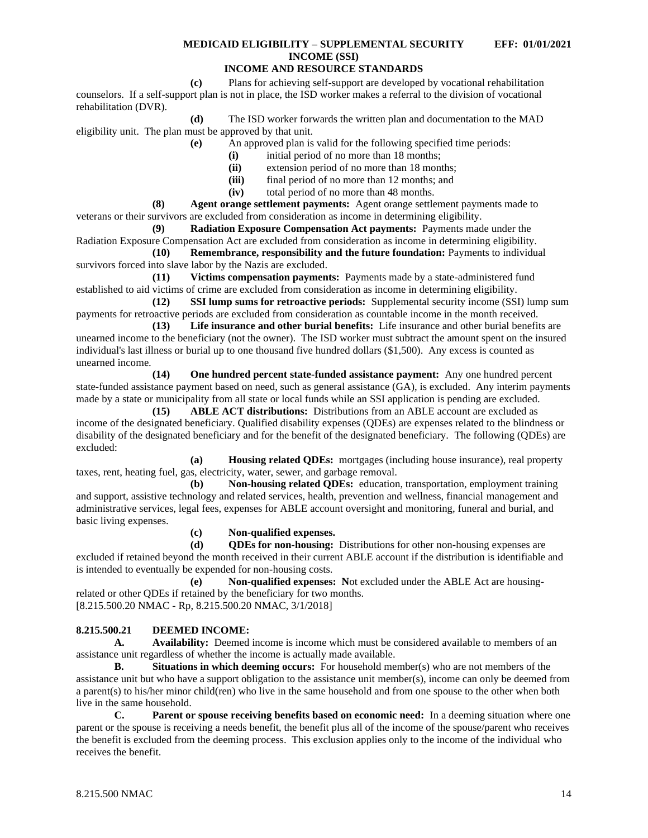## **INCOME AND RESOURCE STANDARDS**

**(c)** Plans for achieving self-support are developed by vocational rehabilitation counselors. If a self-support plan is not in place, the ISD worker makes a referral to the division of vocational rehabilitation (DVR).

**(d)** The ISD worker forwards the written plan and documentation to the MAD eligibility unit. The plan must be approved by that unit.

**(e)** An approved plan is valid for the following specified time periods:

- **(i)** initial period of no more than 18 months;
- **(ii)** extension period of no more than 18 months;
- **(iii)** final period of no more than 12 months; and
- **(iv)** total period of no more than 48 months.

**(8) Agent orange settlement payments:** Agent orange settlement payments made to veterans or their survivors are excluded from consideration as income in determining eligibility.

**(9) Radiation Exposure Compensation Act payments:** Payments made under the Radiation Exposure Compensation Act are excluded from consideration as income in determining eligibility.

**(10) Remembrance, responsibility and the future foundation:** Payments to individual survivors forced into slave labor by the Nazis are excluded.

**(11) Victims compensation payments:** Payments made by a state-administered fund established to aid victims of crime are excluded from consideration as income in determining eligibility.

**(12) SSI lump sums for retroactive periods:** Supplemental security income (SSI) lump sum payments for retroactive periods are excluded from consideration as countable income in the month received.

**(13) Life insurance and other burial benefits:** Life insurance and other burial benefits are unearned income to the beneficiary (not the owner). The ISD worker must subtract the amount spent on the insured individual's last illness or burial up to one thousand five hundred dollars (\$1,500). Any excess is counted as unearned income.

**(14) One hundred percent state-funded assistance payment:** Any one hundred percent state-funded assistance payment based on need, such as general assistance (GA), is excluded. Any interim payments made by a state or municipality from all state or local funds while an SSI application is pending are excluded.

**(15) ABLE ACT distributions:** Distributions from an ABLE account are excluded as income of the designated beneficiary. Qualified disability expenses (QDEs) are expenses related to the blindness or disability of the designated beneficiary and for the benefit of the designated beneficiary. The following (QDEs) are excluded:

**(a) Housing related QDEs:** mortgages (including house insurance), real property taxes, rent, heating fuel, gas, electricity, water, sewer, and garbage removal.

**(b) Non-housing related QDEs:** education, transportation, employment training and support, assistive technology and related services, health, prevention and wellness, financial management and administrative services, legal fees, expenses for ABLE account oversight and monitoring, funeral and burial, and basic living expenses.

**(c) Non-qualified expenses.**

**(d) QDEs for non-housing:** Distributions for other non-housing expenses are excluded if retained beyond the month received in their current ABLE account if the distribution is identifiable and is intended to eventually be expended for non-housing costs.

**(e) Non-qualified expenses: N**ot excluded under the ABLE Act are housingrelated or other QDEs if retained by the beneficiary for two months. [8.215.500.20 NMAC - Rp, 8.215.500.20 NMAC, 3/1/2018]

### <span id="page-14-0"></span>**8.215.500.21 DEEMED INCOME:**

**A. Availability:** Deemed income is income which must be considered available to members of an assistance unit regardless of whether the income is actually made available.

**B. Situations in which deeming occurs:** For household member(s) who are not members of the assistance unit but who have a support obligation to the assistance unit member(s), income can only be deemed from a parent(s) to his/her minor child(ren) who live in the same household and from one spouse to the other when both live in the same household.

**C. Parent or spouse receiving benefits based on economic need:** In a deeming situation where one parent or the spouse is receiving a needs benefit, the benefit plus all of the income of the spouse/parent who receives the benefit is excluded from the deeming process. This exclusion applies only to the income of the individual who receives the benefit.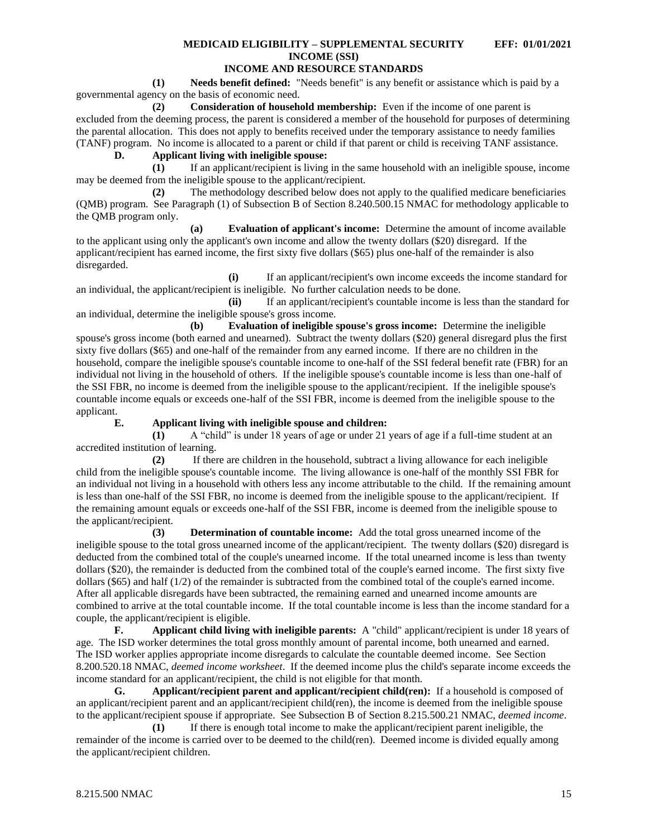## **INCOME AND RESOURCE STANDARDS**

**(1) Needs benefit defined:** "Needs benefit" is any benefit or assistance which is paid by a governmental agency on the basis of economic need.

**(2) Consideration of household membership:** Even if the income of one parent is excluded from the deeming process, the parent is considered a member of the household for purposes of determining the parental allocation. This does not apply to benefits received under the temporary assistance to needy families (TANF) program. No income is allocated to a parent or child if that parent or child is receiving TANF assistance.

**D. Applicant living with ineligible spouse:**

**(1)** If an applicant/recipient is living in the same household with an ineligible spouse, income may be deemed from the ineligible spouse to the applicant/recipient.

**(2)** The methodology described below does not apply to the qualified medicare beneficiaries (QMB) program. See Paragraph (1) of Subsection B of Section 8.240.500.15 NMAC for methodology applicable to the QMB program only.

**(a) Evaluation of applicant's income:** Determine the amount of income available to the applicant using only the applicant's own income and allow the twenty dollars (\$20) disregard. If the applicant/recipient has earned income, the first sixty five dollars (\$65) plus one-half of the remainder is also disregarded.

**(i)** If an applicant/recipient's own income exceeds the income standard for an individual, the applicant/recipient is ineligible. No further calculation needs to be done.

**(ii)** If an applicant/recipient's countable income is less than the standard for an individual, determine the ineligible spouse's gross income.

**(b) Evaluation of ineligible spouse's gross income:** Determine the ineligible spouse's gross income (both earned and unearned). Subtract the twenty dollars (\$20) general disregard plus the first sixty five dollars (\$65) and one-half of the remainder from any earned income. If there are no children in the household, compare the ineligible spouse's countable income to one-half of the SSI federal benefit rate (FBR) for an individual not living in the household of others. If the ineligible spouse's countable income is less than one-half of the SSI FBR, no income is deemed from the ineligible spouse to the applicant/recipient. If the ineligible spouse's countable income equals or exceeds one-half of the SSI FBR, income is deemed from the ineligible spouse to the applicant.

### **E. Applicant living with ineligible spouse and children:**

**(1)** A "child" is under 18 years of age or under 21 years of age if a full-time student at an accredited institution of learning.

**(2)** If there are children in the household, subtract a living allowance for each ineligible child from the ineligible spouse's countable income. The living allowance is one-half of the monthly SSI FBR for an individual not living in a household with others less any income attributable to the child. If the remaining amount is less than one-half of the SSI FBR, no income is deemed from the ineligible spouse to the applicant/recipient. If the remaining amount equals or exceeds one-half of the SSI FBR, income is deemed from the ineligible spouse to the applicant/recipient.

**(3) Determination of countable income:** Add the total gross unearned income of the ineligible spouse to the total gross unearned income of the applicant/recipient. The twenty dollars (\$20) disregard is deducted from the combined total of the couple's unearned income. If the total unearned income is less than twenty dollars (\$20), the remainder is deducted from the combined total of the couple's earned income. The first sixty five dollars (\$65) and half (1/2) of the remainder is subtracted from the combined total of the couple's earned income. After all applicable disregards have been subtracted, the remaining earned and unearned income amounts are combined to arrive at the total countable income. If the total countable income is less than the income standard for a couple, the applicant/recipient is eligible.<br> **F.** Applicant child living

**F. Applicant child living with ineligible parents:** A "child" applicant/recipient is under 18 years of age. The ISD worker determines the total gross monthly amount of parental income, both unearned and earned. The ISD worker applies appropriate income disregards to calculate the countable deemed income. See Section 8.200.520.18 NMAC, *deemed income worksheet*. If the deemed income plus the child's separate income exceeds the income standard for an applicant/recipient, the child is not eligible for that month.

**G. Applicant/recipient parent and applicant/recipient child(ren):** If a household is composed of an applicant/recipient parent and an applicant/recipient child(ren), the income is deemed from the ineligible spouse to the applicant/recipient spouse if appropriate. See Subsection B of Section 8.215.500.21 NMAC, *deemed income*.

**(1)** If there is enough total income to make the applicant/recipient parent ineligible, the remainder of the income is carried over to be deemed to the child(ren). Deemed income is divided equally among the applicant/recipient children.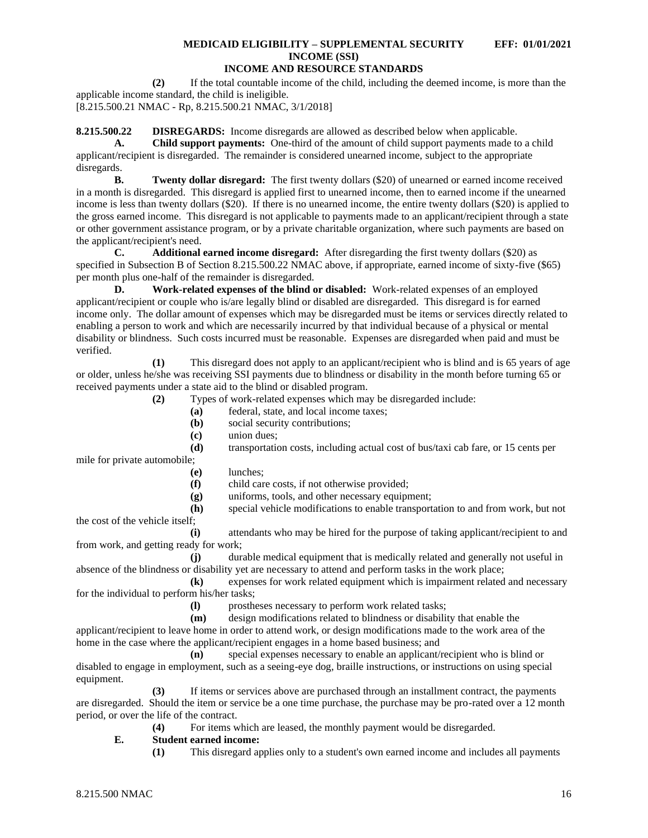**(2)** If the total countable income of the child, including the deemed income, is more than the applicable income standard, the child is ineligible.

[8.215.500.21 NMAC - Rp, 8.215.500.21 NMAC, 3/1/2018]

<span id="page-16-0"></span>**8.215.500.22 DISREGARDS:** Income disregards are allowed as described below when applicable.

**A. Child support payments:** One-third of the amount of child support payments made to a child applicant/recipient is disregarded. The remainder is considered unearned income, subject to the appropriate disregards.

**B. Twenty dollar disregard:** The first twenty dollars (\$20) of unearned or earned income received in a month is disregarded. This disregard is applied first to unearned income, then to earned income if the unearned income is less than twenty dollars (\$20). If there is no unearned income, the entire twenty dollars (\$20) is applied to the gross earned income. This disregard is not applicable to payments made to an applicant/recipient through a state or other government assistance program, or by a private charitable organization, where such payments are based on the applicant/recipient's need.

**C. Additional earned income disregard:** After disregarding the first twenty dollars (\$20) as specified in Subsection B of Section 8.215.500.22 NMAC above, if appropriate, earned income of sixty-five (\$65) per month plus one-half of the remainder is disregarded.

**D. Work-related expenses of the blind or disabled:** Work-related expenses of an employed applicant/recipient or couple who is/are legally blind or disabled are disregarded. This disregard is for earned income only. The dollar amount of expenses which may be disregarded must be items or services directly related to enabling a person to work and which are necessarily incurred by that individual because of a physical or mental disability or blindness. Such costs incurred must be reasonable. Expenses are disregarded when paid and must be verified.

**(1)** This disregard does not apply to an applicant/recipient who is blind and is 65 years of age or older, unless he/she was receiving SSI payments due to blindness or disability in the month before turning 65 or received payments under a state aid to the blind or disabled program.

**(2)** Types of work-related expenses which may be disregarded include:

- **(a)** federal, state, and local income taxes;
- **(b)** social security contributions;
- **(c)** union dues;
- **(d)** transportation costs, including actual cost of bus/taxi cab fare, or 15 cents per

mile for private automobile;

- **(e)** lunches;
- **(f)** child care costs, if not otherwise provided;
- **(g)** uniforms, tools, and other necessary equipment;

**(h)** special vehicle modifications to enable transportation to and from work, but not the cost of the vehicle itself;

**(i)** attendants who may be hired for the purpose of taking applicant/recipient to and from work, and getting ready for work;

**(j)** durable medical equipment that is medically related and generally not useful in absence of the blindness or disability yet are necessary to attend and perform tasks in the work place;

**(k)** expenses for work related equipment which is impairment related and necessary for the individual to perform his/her tasks;

**(l)** prostheses necessary to perform work related tasks;

**(m)** design modifications related to blindness or disability that enable the

applicant/recipient to leave home in order to attend work, or design modifications made to the work area of the home in the case where the applicant/recipient engages in a home based business; and

**(n)** special expenses necessary to enable an applicant/recipient who is blind or disabled to engage in employment, such as a seeing-eye dog, braille instructions, or instructions on using special equipment.

**(3)** If items or services above are purchased through an installment contract, the payments are disregarded. Should the item or service be a one time purchase, the purchase may be pro-rated over a 12 month period, or over the life of the contract.

**(4)** For items which are leased, the monthly payment would be disregarded.

### **E. Student earned income:**

**(1)** This disregard applies only to a student's own earned income and includes all payments